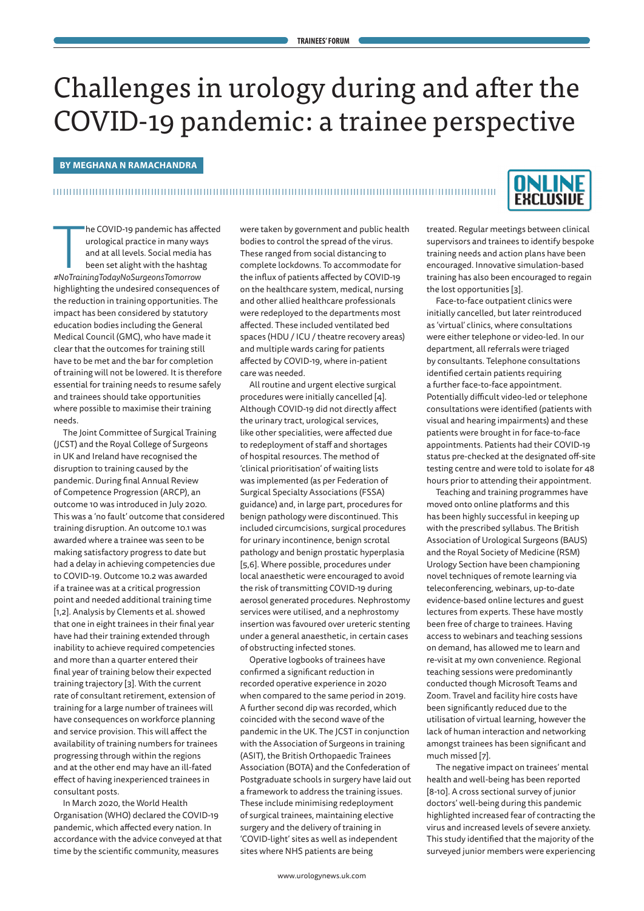# Challenges in urology during and after the COVID-19 pandemic: a trainee perspective

## **BY MEGHANA N RAMACHANDRA**

## 



*#NoTrainingTodayNoSurgeonsTomorrow*<br>#NoTrainingTodayNoSurgeonsTomorrow<br>#NoTrainingTodayNoSurgeonsTomorrow he COVID-19 pandemic has affected urological practice in many ways and at all levels. Social media has been set alight with the hashtag highlighting the undesired consequences of the reduction in training opportunities. The impact has been considered by statutory education bodies including the General Medical Council (GMC), who have made it clear that the outcomes for training still have to be met and the bar for completion of training will not be lowered. It is therefore essential for training needs to resume safely and trainees should take opportunities where possible to maximise their training needs.

The Joint Committee of Surgical Training (JCST) and the Royal College of Surgeons in UK and Ireland have recognised the disruption to training caused by the pandemic. During final Annual Review of Competence Progression (ARCP), an outcome 10 was introduced in July 2020. This was a 'no fault' outcome that considered training disruption. An outcome 10.1 was awarded where a trainee was seen to be making satisfactory progress to date but had a delay in achieving competencies due to COVID-19. Outcome 10.2 was awarded if a trainee was at a critical progression point and needed additional training time [1,2]. Analysis by Clements et al. showed that one in eight trainees in their final year have had their training extended through inability to achieve required competencies and more than a quarter entered their final year of training below their expected training trajectory [3]. With the current rate of consultant retirement, extension of training for a large number of trainees will have consequences on workforce planning and service provision. This will affect the availability of training numbers for trainees progressing through within the regions and at the other end may have an ill-fated effect of having inexperienced trainees in consultant posts.

In March 2020, the World Health Organisation (WHO) declared the COVID-19 pandemic, which affected every nation. In accordance with the advice conveyed at that time by the scientific community, measures

were taken by government and public health bodies to control the spread of the virus. These ranged from social distancing to complete lockdowns. To accommodate for the influx of patients affected by COVID-19 on the healthcare system, medical, nursing and other allied healthcare professionals were redeployed to the departments most affected. These included ventilated bed spaces (HDU / ICU / theatre recovery areas) and multiple wards caring for patients affected by COVID-19, where in-patient care was needed.

All routine and urgent elective surgical procedures were initially cancelled [4]. Although COVID-19 did not directly affect the urinary tract, urological services, like other specialities, were affected due to redeployment of staff and shortages of hospital resources. The method of 'clinical prioritisation' of waiting lists was implemented (as per Federation of Surgical Specialty Associations (FSSA) guidance) and, in large part, procedures for benign pathology were discontinued. This included circumcisions, surgical procedures for urinary incontinence, benign scrotal pathology and benign prostatic hyperplasia [5,6]. Where possible, procedures under local anaesthetic were encouraged to avoid the risk of transmitting COVID-19 during aerosol generated procedures. Nephrostomy services were utilised, and a nephrostomy insertion was favoured over ureteric stenting under a general anaesthetic, in certain cases of obstructing infected stones.

Operative logbooks of trainees have confirmed a significant reduction in recorded operative experience in 2020 when compared to the same period in 2019. A further second dip was recorded, which coincided with the second wave of the pandemic in the UK. The JCST in conjunction with the Association of Surgeons in training (ASIT), the British Orthopaedic Trainees Association (BOTA) and the Confederation of Postgraduate schools in surgery have laid out a framework to address the training issues. These include minimising redeployment of surgical trainees, maintaining elective surgery and the delivery of training in 'COVID-light' sites as well as independent sites where NHS patients are being

treated. Regular meetings between clinical supervisors and trainees to identify bespoke training needs and action plans have been encouraged. Innovative simulation-based training has also been encouraged to regain the lost opportunities [3].

Face-to-face outpatient clinics were initially cancelled, but later reintroduced as 'virtual' clinics, where consultations were either telephone or video-led. In our department, all referrals were triaged by consultants. Telephone consultations identified certain patients requiring a further face-to-face appointment. Potentially difficult video-led or telephone consultations were identified (patients with visual and hearing impairments) and these patients were brought in for face-to-face appointments. Patients had their COVID-19 status pre-checked at the designated off-site testing centre and were told to isolate for 48 hours prior to attending their appointment.

Teaching and training programmes have moved onto online platforms and this has been highly successful in keeping up with the prescribed syllabus. The British Association of Urological Surgeons (BAUS) and the Royal Society of Medicine (RSM) Urology Section have been championing novel techniques of remote learning via teleconferencing, webinars, up-to-date evidence-based online lectures and guest lectures from experts. These have mostly been free of charge to trainees. Having access to webinars and teaching sessions on demand, has allowed me to learn and re-visit at my own convenience. Regional teaching sessions were predominantly conducted though Microsoft Teams and Zoom. Travel and facility hire costs have been significantly reduced due to the utilisation of virtual learning, however the lack of human interaction and networking amongst trainees has been significant and much missed [7].

The negative impact on trainees' mental health and well-being has been reported [8-10]. A cross sectional survey of junior doctors' well-being during this pandemic highlighted increased fear of contracting the virus and increased levels of severe anxiety. This study identified that the majority of the surveyed junior members were experiencing